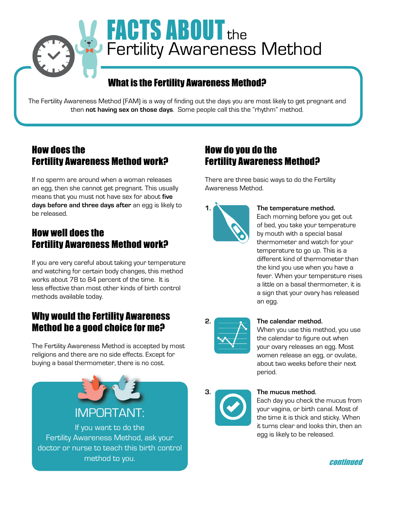

# **FACTS ABOUT the Fertility Awareness Method**

# What is the Fertility Awareness Method?

The Fertility Awareness Method (FAM) is a way of finding out the days you are most likely to get pregnant and then **not having sex on those days**. Some people call this the "rhythm" method.

### How does the Fertility Awareness Method work?

If no sperm are around when a woman releases an egg, then she cannot get pregnant. This usually means that you must not have sex for about **five days before and three days after** an egg is likely to be released.

# How well does the Fertility Awareness Method work?

If you are very careful about taking your temperature and watching for certain body changes, this method works about 78 to 84 percent of the time. It is less effective than most other kinds of birth control methods available today.

# Why would the Fertility Awareness Method be a good choice for me?

The Fertility Awareness Method is accepted by most religions and there are no side effects. Except for buying a basal thermometer, there is no cost.



method to you. The continued of the continued of the continued of the continued of the continued of the continued

### How do you do the Fertility Awareness Method?

There are three basic ways to do the Fertility Awareness Method.



#### **1. The temperature method.**

Each morning before you get out of bed, you take your temperature by mouth with a special basal thermometer and watch for your temperature to go up. This is a different kind of thermometer than the kind you use when you have a fever. When your temperature rises a little on a basal thermometer, it is a sign that your ovary has released an egg.



#### **2. The calendar method.**

When you use this method, you use the calendar to figure out when your ovary releases an egg. Most women release an egg, or ovulate, about two weeks before their next period.



#### **3. The mucus method.**

Each day you check the mucus from your vagina, or birth canal. Most of the time it is thick and sticky. When it turns clear and looks thin, then an egg is likely to be released.